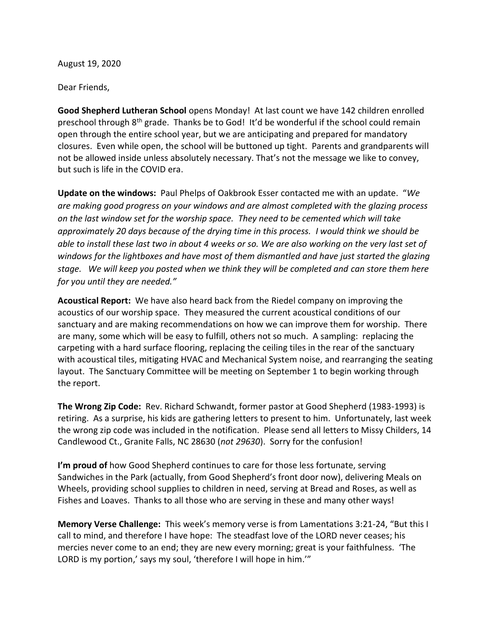August 19, 2020

Dear Friends,

**Good Shepherd Lutheran School** opens Monday! At last count we have 142 children enrolled preschool through  $8<sup>th</sup>$  grade. Thanks be to God! It'd be wonderful if the school could remain open through the entire school year, but we are anticipating and prepared for mandatory closures. Even while open, the school will be buttoned up tight. Parents and grandparents will not be allowed inside unless absolutely necessary. That's not the message we like to convey, but such is life in the COVID era.

**Update on the windows:** Paul Phelps of Oakbrook Esser contacted me with an update. "*We are making good progress on your windows and are almost completed with the glazing process on the last window set for the worship space. They need to be cemented which will take approximately 20 days because of the drying time in this process. I would think we should be able to install these last two in about 4 weeks or so. We are also working on the very last set of windows for the lightboxes and have most of them dismantled and have just started the glazing stage. We will keep you posted when we think they will be completed and can store them here for you until they are needed."*

**Acoustical Report:** We have also heard back from the Riedel company on improving the acoustics of our worship space. They measured the current acoustical conditions of our sanctuary and are making recommendations on how we can improve them for worship. There are many, some which will be easy to fulfill, others not so much. A sampling: replacing the carpeting with a hard surface flooring, replacing the ceiling tiles in the rear of the sanctuary with acoustical tiles, mitigating HVAC and Mechanical System noise, and rearranging the seating layout. The Sanctuary Committee will be meeting on September 1 to begin working through the report.

**The Wrong Zip Code:** Rev. Richard Schwandt, former pastor at Good Shepherd (1983-1993) is retiring. As a surprise, his kids are gathering letters to present to him. Unfortunately, last week the wrong zip code was included in the notification. Please send all letters to Missy Childers, 14 Candlewood Ct., Granite Falls, NC 28630 (*not 29630*). Sorry for the confusion!

**I'm proud of** how Good Shepherd continues to care for those less fortunate, serving Sandwiches in the Park (actually, from Good Shepherd's front door now), delivering Meals on Wheels, providing school supplies to children in need, serving at Bread and Roses, as well as Fishes and Loaves. Thanks to all those who are serving in these and many other ways!

**Memory Verse Challenge:** This week's memory verse is from Lamentations 3:21-24, "But this I call to mind, and therefore I have hope: The steadfast love of the LORD never ceases; his mercies never come to an end; they are new every morning; great is your faithfulness. 'The LORD is my portion,' says my soul, 'therefore I will hope in him.'"